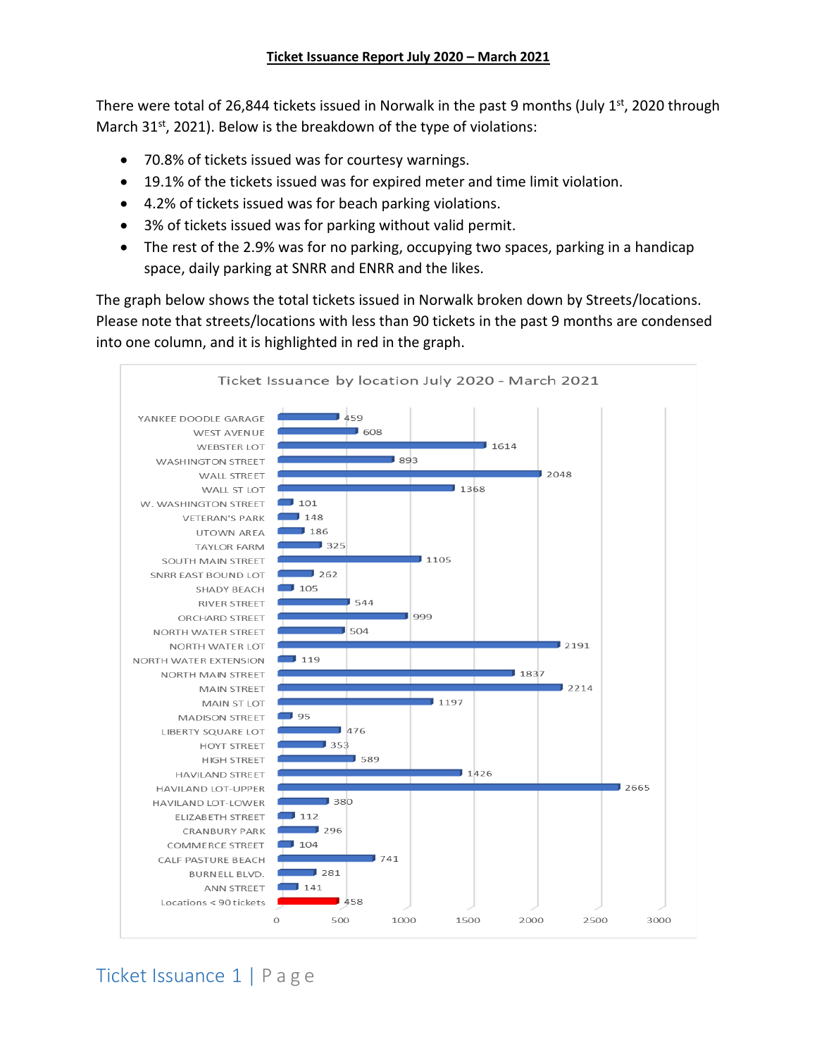There were total of 26,844 tickets issued in Norwalk in the past 9 months (July 1<sup>st</sup>, 2020 through March 31<sup>st</sup>, 2021). Below is the breakdown of the type of violations:

- 70.8% of tickets issued was for courtesy warnings.
- 19.1% of the tickets issued was for expired meter and time limit violation.
- 4.2% of tickets issued was for beach parking violations.
- 3% of tickets issued was for parking without valid permit.
- The rest of the 2.9% was for no parking, occupying two spaces, parking in a handicap space, daily parking at SNRR and ENRR and the likes.

The graph below shows the total tickets issued in Norwalk broken down by Streets/locations. Please note that streets/locations with less than 90 tickets in the past 9 months are condensed into one column, and it is highlighted in red in the graph.



Ticket Issuance 1 | P a g e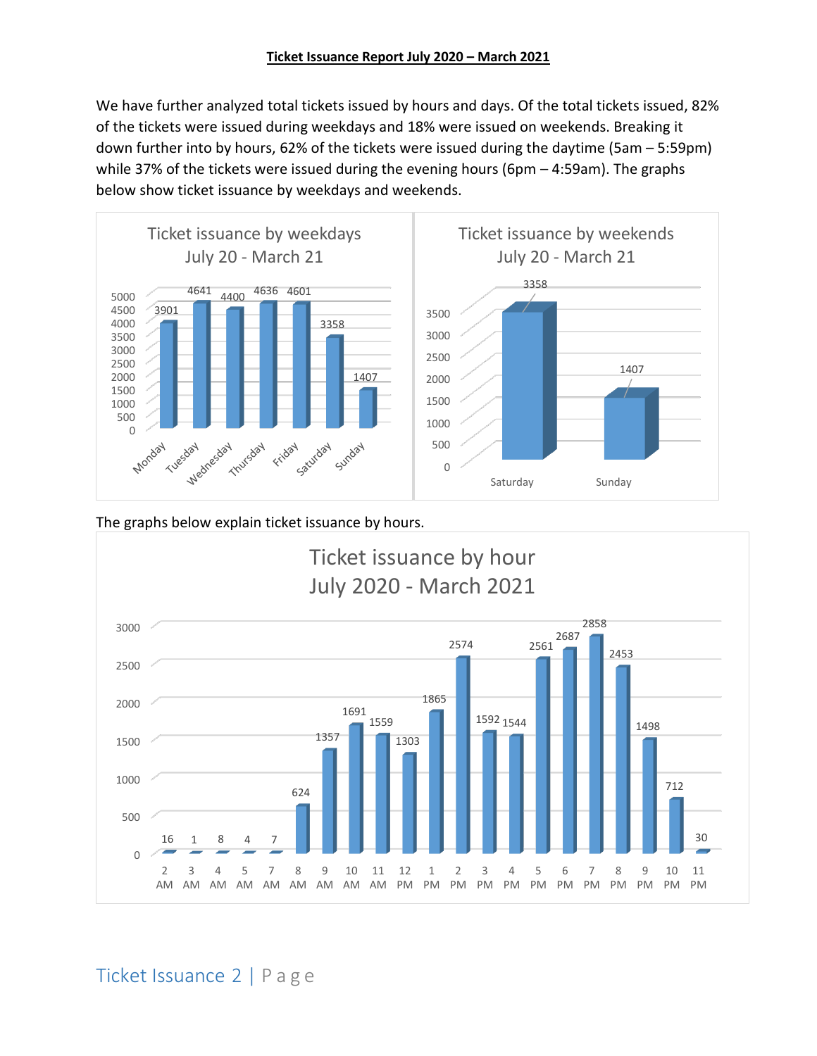We have further analyzed total tickets issued by hours and days. Of the total tickets issued, 82% of the tickets were issued during weekdays and 18% were issued on weekends. Breaking it down further into by hours, 62% of the tickets were issued during the daytime (5am – 5:59pm) while 37% of the tickets were issued during the evening hours (6pm – 4:59am). The graphs below show ticket issuance by weekdays and weekends.



### The graphs below explain ticket issuance by hours.

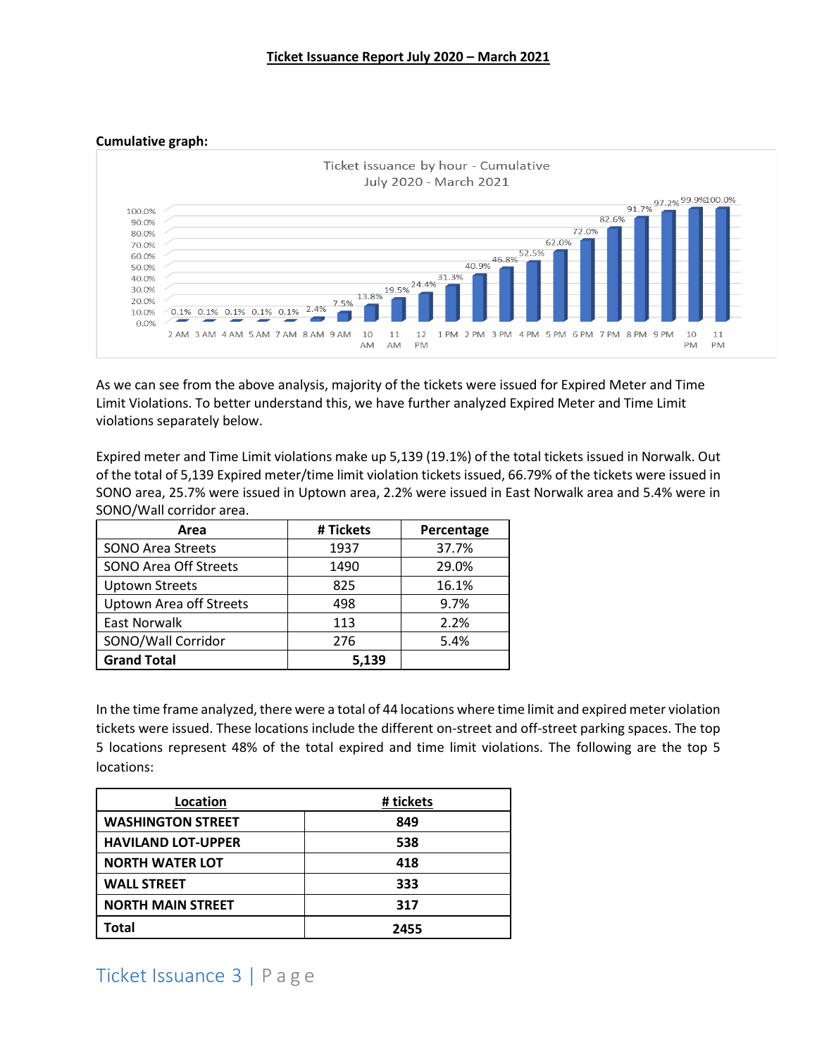**Cumulative graph:**



As we can see from the above analysis, majority of the tickets were issued for Expired Meter and Time Limit Violations. To better understand this, we have further analyzed Expired Meter and Time Limit violations separately below.

Expired meter and Time Limit violations make up 5,139 (19.1%) of the total tickets issued in Norwalk. Out of the total of 5,139 Expired meter/time limit violation tickets issued, 66.79% of the tickets were issued in SONO area, 25.7% were issued in Uptown area, 2.2% were issued in East Norwalk area and 5.4% were in SONO/Wall corridor area.

| Area                           | # Tickets | Percentage |
|--------------------------------|-----------|------------|
| <b>SONO Area Streets</b>       | 1937      | 37.7%      |
| <b>SONO Area Off Streets</b>   | 1490      | 29.0%      |
| <b>Uptown Streets</b>          | 825       | 16.1%      |
| <b>Uptown Area off Streets</b> | 498       | 9.7%       |
| <b>East Norwalk</b>            | 113       | 2.2%       |
| SONO/Wall Corridor             | 276       | 5.4%       |
| <b>Grand Total</b>             | 5,139     |            |

In the time frame analyzed, there were a total of 44 locations where time limit and expired meter violation tickets were issued. These locations include the different on-street and off-street parking spaces. The top 5 locations represent 48% of the total expired and time limit violations. The following are the top 5 locations:

| Location                  | # tickets |  |
|---------------------------|-----------|--|
| <b>WASHINGTON STREET</b>  | 849       |  |
| <b>HAVILAND LOT-UPPER</b> | 538       |  |
| <b>NORTH WATER LOT</b>    | 418       |  |
| <b>WALL STREET</b>        | 333       |  |
| <b>NORTH MAIN STREET</b>  | 317       |  |
| Total                     | 2455      |  |

# Ticket Issuance 3 | P a g e